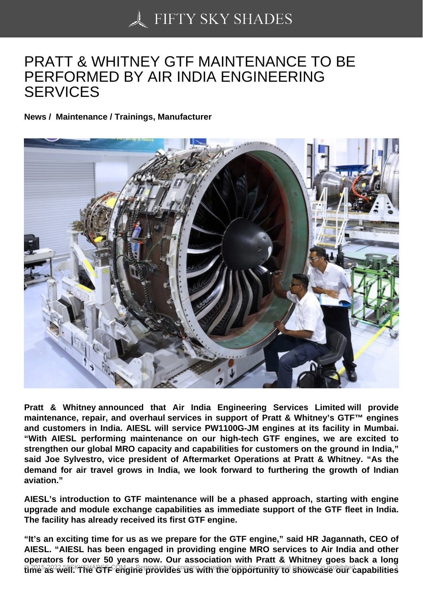## [PRATT & WHITNEY G](https://50skyshades.com)TF MAINTENANCE TO BE PERFORMED BY AIR INDIA ENGINEERING **SERVICES**

News / Maintenance / Trainings, Manufacturer

Pratt & Whitney announced that Air India Engineering Services Limited will provide maintenance, repair, and overhaul services in support of Pratt & Whitney's GTF™ engines and customers in India. AIESL will service PW1100G-JM engines at its facility in Mumbai. "With AIESL performing maintenance on our high-tech GTF engines, we are excited to strengthen our global MRO capacity and capabilities for customers on the ground in India," said Joe Sylvestro, vice president of Aftermarket Operations at Pratt & Whitney. "As the demand for air travel grows in India, we look forward to furthering the growth of Indian aviation."

AIESL's introduction to GTF maintenance will be a phased approach, starting with engine upgrade and module exchange capabilities as immediate support of the GTF fleet in India. The facility has already received its first GTF engine.

"It's an exciting time for us as we prepare for the GTF engine," said HR Jagannath, CEO of AIESL. "AIESL has been engaged in providing engine MRO services to Air India and other operators for over 50 years now. Our association with Pratt & Whitney goes back a long niche as well. The GTF engine provides us with the opportunity to showcase our capabilities <sup>1</sup>